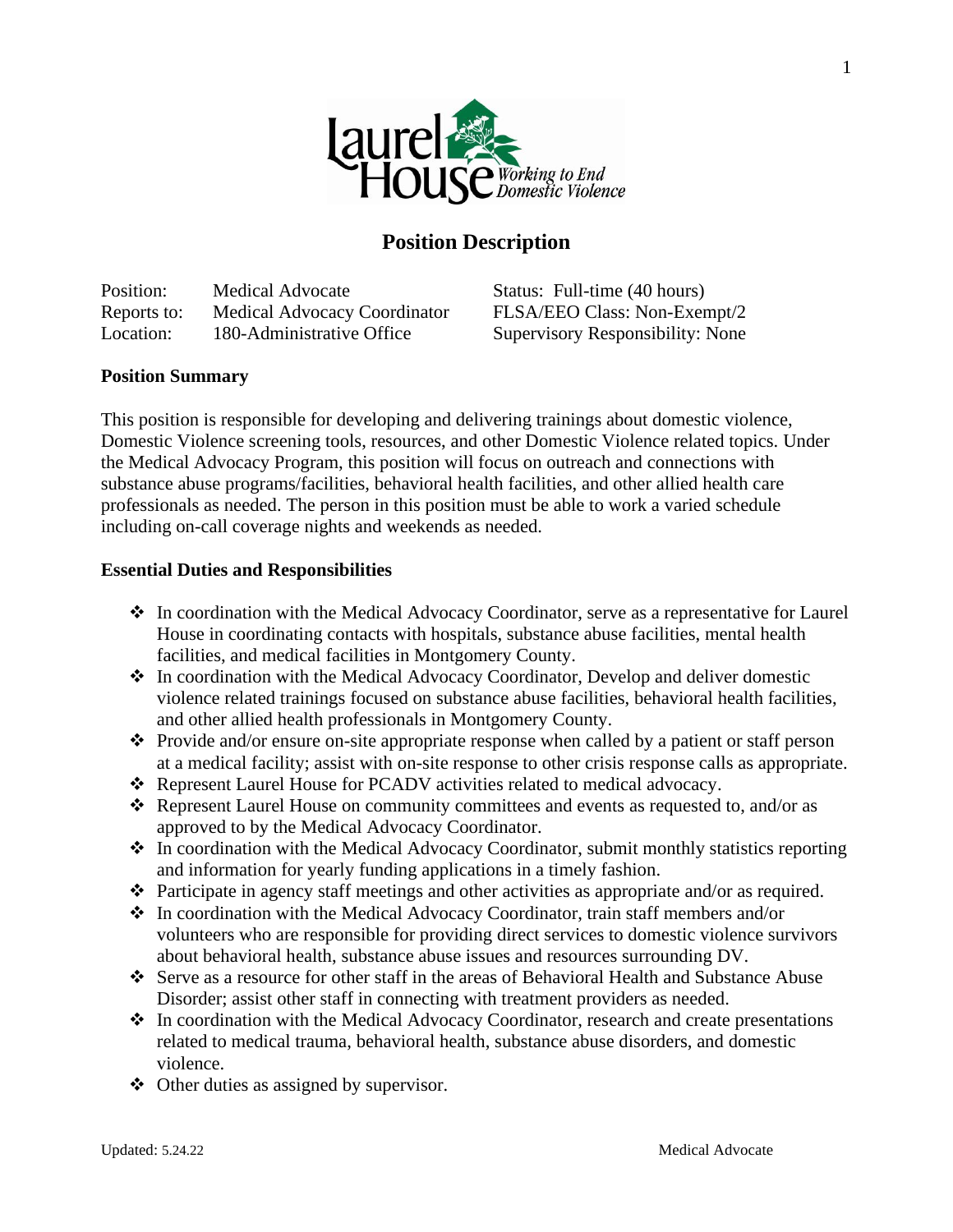

# **Position Description**

Position: Medical Advocate Status: Full-time (40 hours) Reports to: Medical Advocacy Coordinator FLSA/EEO Class: Non-Exempt/2 Location: 180-Administrative Office Supervisory Responsibility: None

### **Position Summary**

This position is responsible for developing and delivering trainings about domestic violence, Domestic Violence screening tools, resources, and other Domestic Violence related topics. Under the Medical Advocacy Program, this position will focus on outreach and connections with substance abuse programs/facilities, behavioral health facilities, and other allied health care professionals as needed. The person in this position must be able to work a varied schedule including on-call coverage nights and weekends as needed.

#### **Essential Duties and Responsibilities**

- ❖ In coordination with the Medical Advocacy Coordinator, serve as a representative for Laurel House in coordinating contacts with hospitals, substance abuse facilities, mental health facilities, and medical facilities in Montgomery County.
- ❖ In coordination with the Medical Advocacy Coordinator, Develop and deliver domestic violence related trainings focused on substance abuse facilities, behavioral health facilities, and other allied health professionals in Montgomery County.
- ❖ Provide and/or ensure on-site appropriate response when called by a patient or staff person at a medical facility; assist with on-site response to other crisis response calls as appropriate.
- ❖ Represent Laurel House for PCADV activities related to medical advocacy.
- ❖ Represent Laurel House on community committees and events as requested to, and/or as approved to by the Medical Advocacy Coordinator.
- ❖ In coordination with the Medical Advocacy Coordinator, submit monthly statistics reporting and information for yearly funding applications in a timely fashion.
- ❖ Participate in agency staff meetings and other activities as appropriate and/or as required.
- ❖ In coordination with the Medical Advocacy Coordinator, train staff members and/or volunteers who are responsible for providing direct services to domestic violence survivors about behavioral health, substance abuse issues and resources surrounding DV.
- ❖ Serve as a resource for other staff in the areas of Behavioral Health and Substance Abuse Disorder; assist other staff in connecting with treatment providers as needed.
- ❖ In coordination with the Medical Advocacy Coordinator, research and create presentations related to medical trauma, behavioral health, substance abuse disorders, and domestic violence.
- ❖ Other duties as assigned by supervisor.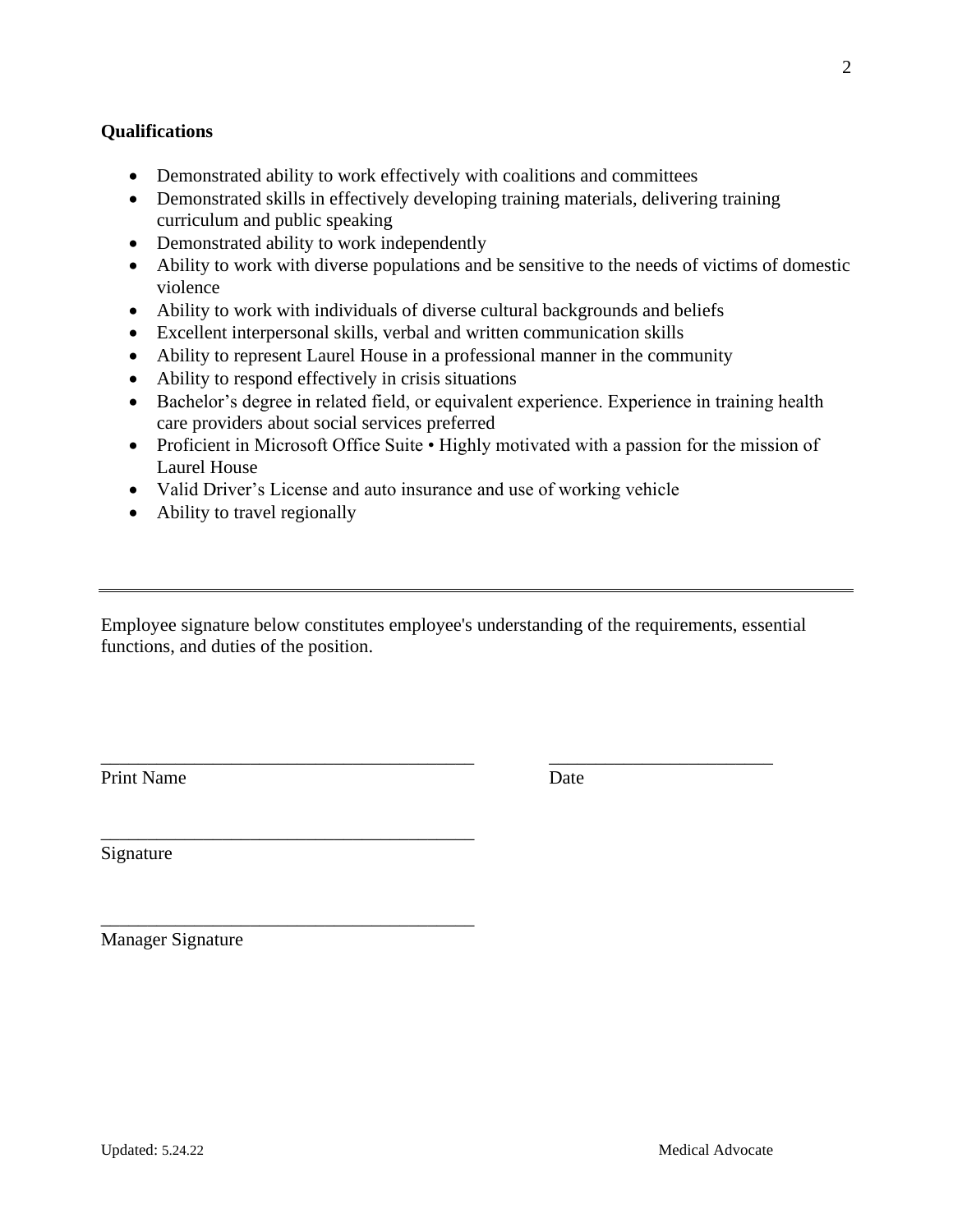#### **Qualifications**

- Demonstrated ability to work effectively with coalitions and committees
- Demonstrated skills in effectively developing training materials, delivering training curriculum and public speaking
- Demonstrated ability to work independently
- Ability to work with diverse populations and be sensitive to the needs of victims of domestic violence
- Ability to work with individuals of diverse cultural backgrounds and beliefs
- Excellent interpersonal skills, verbal and written communication skills
- Ability to represent Laurel House in a professional manner in the community
- Ability to respond effectively in crisis situations
- Bachelor's degree in related field, or equivalent experience. Experience in training health care providers about social services preferred
- Proficient in Microsoft Office Suite Highly motivated with a passion for the mission of Laurel House
- Valid Driver's License and auto insurance and use of working vehicle
- Ability to travel regionally

\_\_\_\_\_\_\_\_\_\_\_\_\_\_\_\_\_\_\_\_\_\_\_\_\_\_\_\_\_\_\_\_\_\_\_\_\_\_\_\_

\_\_\_\_\_\_\_\_\_\_\_\_\_\_\_\_\_\_\_\_\_\_\_\_\_\_\_\_\_\_\_\_\_\_\_\_\_\_\_\_

Employee signature below constitutes employee's understanding of the requirements, essential functions, and duties of the position.

\_\_\_\_\_\_\_\_\_\_\_\_\_\_\_\_\_\_\_\_\_\_\_\_\_\_\_\_\_\_\_\_\_\_\_\_\_\_\_\_ \_\_\_\_\_\_\_\_\_\_\_\_\_\_\_\_\_\_\_\_\_\_\_\_

Print Name Date

Signature

Manager Signature